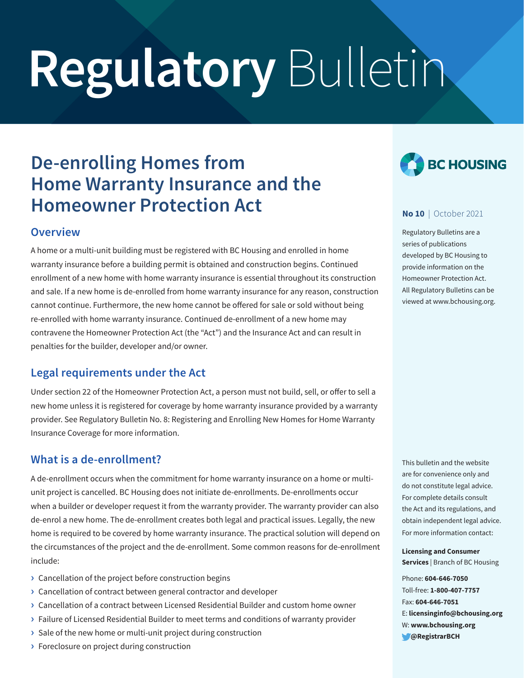# **Regulatory** Bulletin

# **De-enrolling Homes from Home Warranty Insurance and the Homeowner Protection Act**

## **Overview**

A home or a multi-unit building must be registered with BC Housing and enrolled in home warranty insurance before a building permit is obtained and construction begins. Continued enrollment of a new home with home warranty insurance is essential throughout its construction and sale. If a new home is de-enrolled from home warranty insurance for any reason, construction cannot continue. Furthermore, the new home cannot be offered for sale or sold without being re-enrolled with home warranty insurance. Continued de-enrollment of a new home may contravene the Homeowner Protection Act (the "Act") and the Insurance Act and can result in penalties for the builder, developer and/or owner.

# **Legal requirements under the Act**

Under section 22 of the Homeowner Protection Act, a person must not build, sell, or offer to sell a new home unless it is registered for coverage by home warranty insurance provided by a warranty provider. See Regulatory Bulletin No. 8: Registering and Enrolling New Homes for Home Warranty Insurance Coverage for more information.

# **What is a de-enrollment?**

A de-enrollment occurs when the commitment for home warranty insurance on a home or multiunit project is cancelled. BC Housing does not initiate de-enrollments. De-enrollments occur when a builder or developer request it from the warranty provider. The warranty provider can also de-enrol a new home. The de-enrollment creates both legal and practical issues. Legally, the new home is required to be covered by home warranty insurance. The practical solution will depend on the circumstances of the project and the de-enrollment. Some common reasons for de-enrollment include:

- **›** Cancellation of the project before construction begins
- **›** Cancellation of contract between general contractor and developer
- **›** Cancellation of a contract between Licensed Residential Builder and custom home owner
- **›** Failure of Licensed Residential Builder to meet terms and conditions of warranty provider
- **›** Sale of the new home or multi-unit project during construction
- **›** Foreclosure on project during construction



#### **No 10** | October 2021

Regulatory Bulletins are a series of publications developed by BC Housing to provide information on the Homeowner Protection Act. All Regulatory Bulletins can be viewed at www.bchousing.org.

This bulletin and the website are for convenience only and do not constitute legal advice. For complete details consult the Act and its regulations, and obtain independent legal advice. For more information contact:

**Licensing and Consumer Services** | Branch of BC Housing

Phone: **604-646-7050** Toll-free: **1-800-407-7757** Fax: **604-646-7051** E: **licensinginfo@bchousing.org** W: **www.bchousing.org @RegistrarBCH**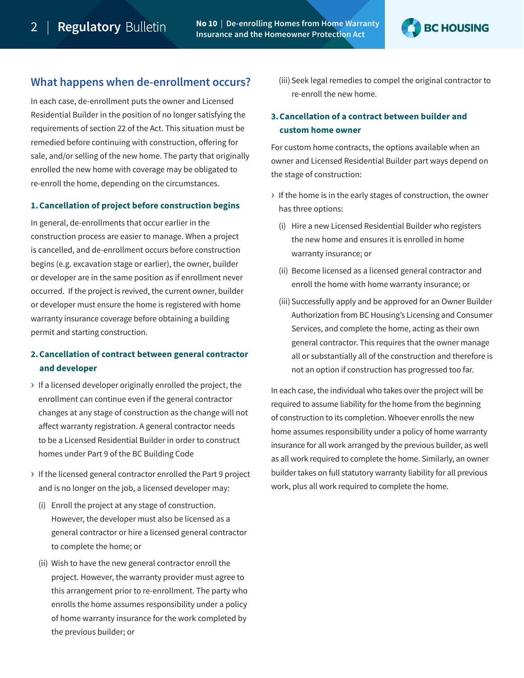2 | **Regulatory No 10** | **De-enrolling Homes from Home Warranty Insurance and the Homeowner Protection Act**



#### **What happens when de-enrollment occurs?**

In each case, de-enrollment puts the owner and Licensed Residential Builder in the position of no longer satisfying the requirements of section 22 of the Act. This situation must be remedied before continuing with construction, offering for sale, and/or selling of the new home. The party that originally enrolled the new home with coverage may be obligated to re-enroll the home, depending on the circumstances.

#### **1.Cancellation of project before construction begins**

In general, de-enrollments that occur earlier in the construction process are easier to manage. When a project is cancelled, and de-enrollment occurs before construction begins (e.g. excavation stage or earlier), the owner, builder or developer are in the same position as if enrollment never occurred. If the project is revived, the current owner, builder or developer must ensure the home is registered with home warranty insurance coverage before obtaining a building permit and starting construction.

#### **2.Cancellation of contract between general contractor and developer**

- **›** If a licensed developer originally enrolled the project, the enrollment can continue even if the general contractor changes at any stage of construction as the change will not affect warranty registration. A general contractor needs to be a Licensed Residential Builder in order to construct homes under Part 9 of the BC Building Code
- **›** If the licensed general contractor enrolled the Part 9 project and is no longer on the job, a licensed developer may:
	- (i) Enroll the project at any stage of construction. However, the developer must also be licensed as a general contractor or hire a licensed general contractor to complete the home; or
	- (ii) Wish to have the new general contractor enroll the project. However, the warranty provider must agree to this arrangement prior to re-enrollment. The party who enrolls the home assumes responsibility under a policy of home warranty insurance for the work completed by the previous builder; or

(iii) Seek legal remedies to compel the original contractor to re-enroll the new home.

#### **3.Cancellation of a contract between builder and custom home owner**

For custom home contracts, the options available when an owner and Licensed Residential Builder part ways depend on the stage of construction:

- **›** If the home is in the early stages of construction, the owner has three options:
	- (i) Hire a new Licensed Residential Builder who registers the new home and ensures it is enrolled in home warranty insurance; or
	- (ii) Become licensed as a licensed general contractor and enroll the home with home warranty insurance; or
	- (iii) Successfully apply and be approved for an Owner Builder Authorization from BC Housing's Licensing and Consumer Services, and complete the home, acting as their own general contractor. This requires that the owner manage all or substantially all of the construction and therefore is not an option if construction has progressed too far.

In each case, the individual who takes over the project will be required to assume liability for the home from the beginning of construction to its completion. Whoever enrolls the new home assumes responsibility under a policy of home warranty insurance for all work arranged by the previous builder, as well as all work required to complete the home. Similarly, an owner builder takes on full statutory warranty liability for all previous work, plus all work required to complete the home.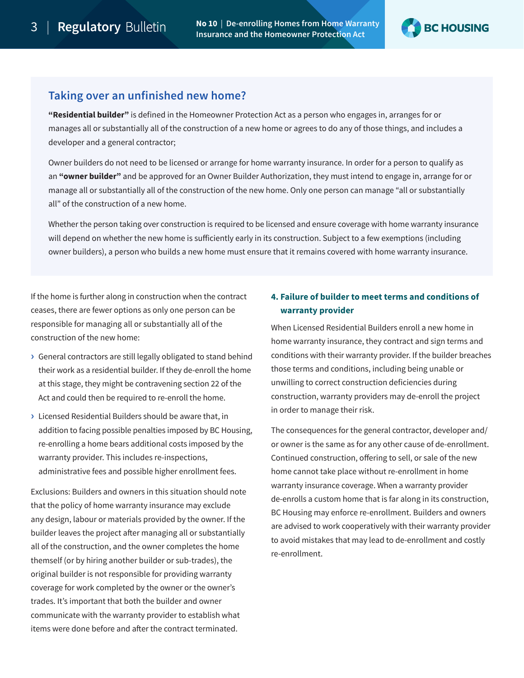**Regulatory** Bulletin No 10 | De-enrolling Homes from Home Warranty **Insurance and the Homeowner Protection Act**



### **Taking over an unfinished new home?**

**"Residential builder"** is defined in the Homeowner Protection Act as a person who engages in, arranges for or manages all or substantially all of the construction of a new home or agrees to do any of those things, and includes a developer and a general contractor;

Owner builders do not need to be licensed or arrange for home warranty insurance. In order for a person to qualify as an **"owner builder"** and be approved for an Owner Builder Authorization, they must intend to engage in, arrange for or manage all or substantially all of the construction of the new home. Only one person can manage "all or substantially all" of the construction of a new home.

Whether the person taking over construction is required to be licensed and ensure coverage with home warranty insurance will depend on whether the new home is sufficiently early in its construction. Subject to a few exemptions (including owner builders), a person who builds a new home must ensure that it remains covered with home warranty insurance.

If the home is further along in construction when the contract ceases, there are fewer options as only one person can be responsible for managing all or substantially all of the construction of the new home:

- **›** General contractors are still legally obligated to stand behind their work as a residential builder. If they de-enroll the home at this stage, they might be contravening section 22 of the Act and could then be required to re-enroll the home.
- **›** Licensed Residential Builders should be aware that, in addition to facing possible penalties imposed by BC Housing, re-enrolling a home bears additional costs imposed by the warranty provider. This includes re-inspections, administrative fees and possible higher enrollment fees.

Exclusions: Builders and owners in this situation should note that the policy of home warranty insurance may exclude any design, labour or materials provided by the owner. If the builder leaves the project after managing all or substantially all of the construction, and the owner completes the home themself (or by hiring another builder or sub-trades), the original builder is not responsible for providing warranty coverage for work completed by the owner or the owner's trades. It's important that both the builder and owner communicate with the warranty provider to establish what items were done before and after the contract terminated.

#### **4. Failure of builder to meet terms and conditions of warranty provider**

When Licensed Residential Builders enroll a new home in home warranty insurance, they contract and sign terms and conditions with their warranty provider. If the builder breaches those terms and conditions, including being unable or unwilling to correct construction deficiencies during construction, warranty providers may de-enroll the project in order to manage their risk.

The consequences for the general contractor, developer and/ or owner is the same as for any other cause of de-enrollment. Continued construction, offering to sell, or sale of the new home cannot take place without re-enrollment in home warranty insurance coverage. When a warranty provider de-enrolls a custom home that is far along in its construction, BC Housing may enforce re-enrollment. Builders and owners are advised to work cooperatively with their warranty provider to avoid mistakes that may lead to de-enrollment and costly re-enrollment.